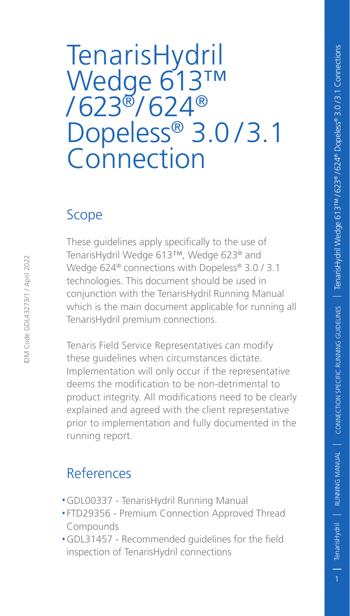# TenarisHydril Wedge 613™  $/623$ <sup>®</sup> $/624$ <sup>®</sup> Dopeless® 3.0/3.1 **Connection**

### Scope

These guidelines apply specifically to the use of TenarisHydril Wedge 613™, Wedge 623® and Wedge 624® connections with Dopeless® 3.0 / 3.1 technologies. This document should be used in conjunction with the TenarisHydril Running Manual which is the main document applicable for running all TenarisHydril premium connections.

Tenaris Field Service Representatives can modify these guidelines when circumstances dictate. Implementation will only occur if the representative deems the modification to be non-detrimental to product integrity. All modifications need to be clearly explained and agreed with the client representative prior to implementation and fully documented in the running report.

### References

- .GDL00337 TenarisHydril Running Manual
- .FTD29356 Premium Connection Approved Thread Compounds
- .GDL31457 Recommended guidelines for the field inspection of TenarisHydril connections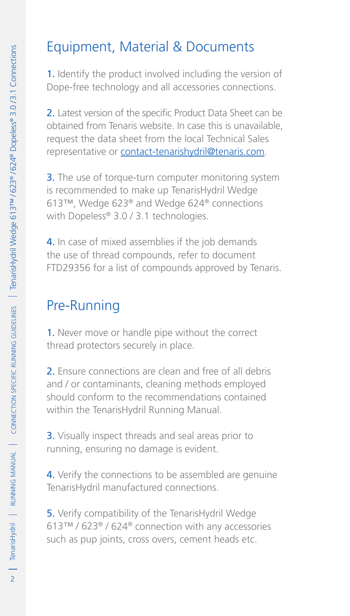### Equipment, Material & Documents

1. Identify the product involved including the version of Dope-free technology and all accessories connections.

2. Latest version of the specific Product Data Sheet can be obtained from Tenaris website. In case this is unavailable, request the data sheet from the local Technical Sales representative or contact-tenarishydril@tenaris.com.

**3.** The use of torque-turn computer monitoring system is recommended to make up TenarisHydril Wedge 613™, Wedge 623® and Wedge 624® connections with Dopeless® 3.0 / 3.1 technologies.

4. In case of mixed assemblies if the job demands the use of thread compounds, refer to document FTD29356 for a list of compounds approved by Tenaris.

### Pre-Running

1. Never move or handle pipe without the correct thread protectors securely in place.

2. Ensure connections are clean and free of all debris and / or contaminants, cleaning methods employed should conform to the recommendations contained within the TenarisHydril Running Manual.

3. Visually inspect threads and seal areas prior to running, ensuring no damage is evident.

4. Verify the connections to be assembled are genuine TenarisHydril manufactured connections.

5. Verify compatibility of the TenarisHydril Wedge 613™ / 623® / 624® connection with any accessories such as pup joints, cross overs, cement heads etc.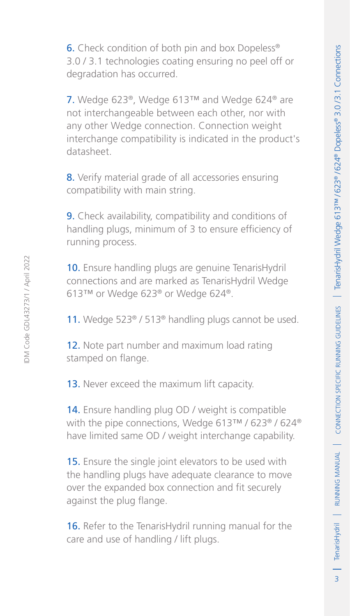$\overline{3}$ 

**6.** Check condition of both pin and box Dopeless<sup>®</sup> 3.0 / 3.1 technologies coating ensuring no peel off or degradation has occurred.

7. Wedge 623®, Wedge 613™ and Wedge 624® are not interchangeable between each other, nor with any other Wedge connection. Connection weight interchange compatibility is indicated in the product's datasheet.

8. Verify material grade of all accessories ensuring compatibility with main string.

**9.** Check availability, compatibility and conditions of handling plugs, minimum of 3 to ensure efficiency of running process.

10. Ensure handling plugs are genuine TenarisHydril connections and are marked as TenarisHydril Wedge 613™ or Wedge 623® or Wedge 624®.

11. Wedge 523<sup>®</sup> / 513<sup>®</sup> handling plugs cannot be used.

12. Note part number and maximum load rating stamped on flange.

13. Never exceed the maximum lift capacity.

14. Ensure handling plug OD / weight is compatible with the pipe connections, Wedge 613™ / 623® / 624® have limited same OD / weight interchange capability.

**15.** Ensure the single joint elevators to be used with the handling plugs have adequate clearance to move over the expanded box connection and fit securely against the plug flange.

16. Refer to the TenarisHydril running manual for the care and use of handling / lift plugs.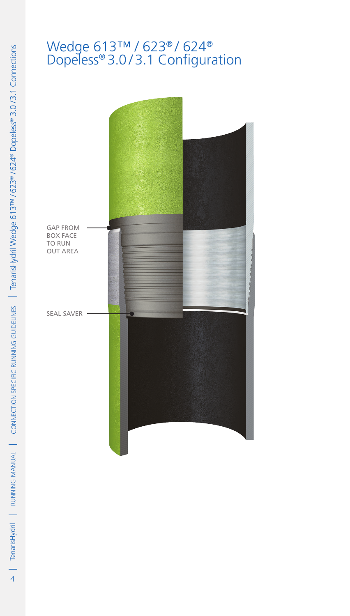# > | TerarisHydril | RUNNING MANUAL | CONNECTION SPECIFIC RUNNING GUDELINES | TerarisHydril Wedge 613™/623° /624° Dopeless® 3.0/3.1 Connections 4RUNNING MANUAL TenarisHydril Connection Specific Running Guidelines TenarisHydril Wedge 613™ / 623® / 624® Dopeless® 3.0 / 3.1 Connections

### Wedge 613™ / 623® / 624® Dopeless® 3.0 / 3.1 Configuration

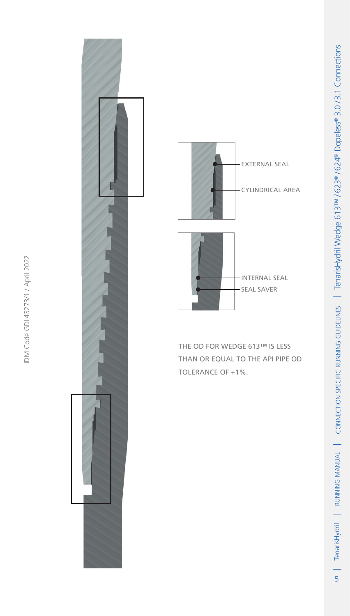

IDM Code GDL43273/1 / April 2022

IDM Code GDL43273/1 / April 2022



The OD for Wedge 613™ is less than or equal to the API pipe OD TOLERANCE OF +1%.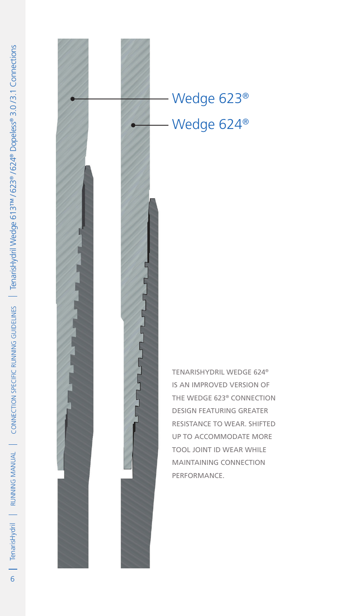

## Wedge 623® Wedge 624®

TENARISHYDRIL WEDGE 624® IS AN IMPROVED VERSION OF THE WEDGE 623® CONNECTION DESIGN FEATURING GREATER RESISTANCE TO WEAR. SHIFTED UP TO ACCOMMODATE MORE TOOL JOINT ID WEAR WHILE MAINTAINING CONNECTION PERFORMANCE.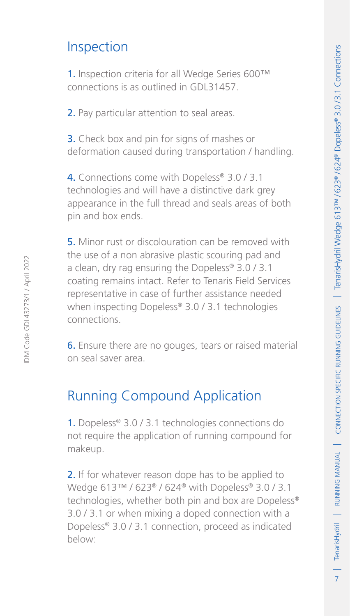$\overline{7}$ 

### Inspection

1. Inspection criteria for all Wedge Series 600™ connections is as outlined in GDL31457.

2. Pay particular attention to seal areas.

3. Check box and pin for signs of mashes or deformation caused during transportation / handling.

4. Connections come with Dopeless<sup>®</sup> 3.0 / 3.1 technologies and will have a distinctive dark grey appearance in the full thread and seals areas of both pin and box ends.

5. Minor rust or discolouration can be removed with the use of a non abrasive plastic scouring pad and a clean, dry rag ensuring the Dopeless® 3.0 / 3.1 coating remains intact. Refer to Tenaris Field Services representative in case of further assistance needed when inspecting Dopeless® 3.0 / 3.1 technologies connections.

6. Ensure there are no gouges, tears or raised material on seal saver area.

### Running Compound Application

1. Dopeless® 3.0 / 3.1 technologies connections do not require the application of running compound for makeup.

2. If for whatever reason dope has to be applied to Wedge 613™ / 623® / 624® with Dopeless® 3.0 / 3.1 technologies, whether both pin and box are Dopeless® 3.0 / 3.1 or when mixing a doped connection with a Dopeless® 3.0 / 3.1 connection, proceed as indicated below: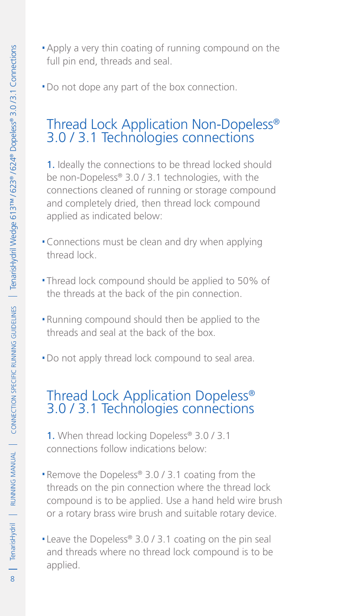. Do not dope any part of the box connection.

### Thread Lock Application Non-Dopeless® 3.0 / 3.1 Technologies connections

1. Ideally the connections to be thread locked should be non-Dopeless® 3.0 / 3.1 technologies, with the connections cleaned of running or storage compound and completely dried, then thread lock compound applied as indicated below:

- .Connections must be clean and dry when applying thread lock.
- .Thread lock compound should be applied to 50% of the threads at the back of the pin connection.
- .Running compound should then be applied to the threads and seal at the back of the box.
- . Do not apply thread lock compound to seal area.

# Thread Lock Application Dopeless® 3.0 / 3.1 Technologies connections

- 1. When thread locking Dopeless® 3.0 / 3.1 connections follow indications below:
- ■Remove the Dopeless® 3.0 / 3.1 coating from the threads on the pin connection where the thread lock compound is to be applied. Use a hand held wire brush or a rotary brass wire brush and suitable rotary device.
- Leave the Dopeless® 3.0 / 3.1 coating on the pin seal and threads where no thread lock compound is to be applied.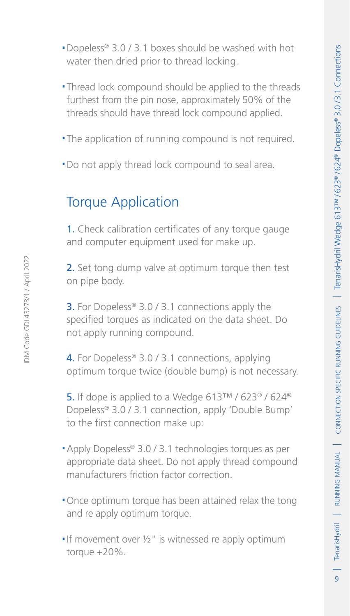$\overline{q}$ 

- .Dopeless® 3.0 / 3.1 boxes should be washed with hot water then dried prior to thread locking.
- .Thread lock compound should be applied to the threads furthest from the pin nose, approximately 50% of the threads should have thread lock compound applied.
- .The application of running compound is not required.
- . Do not apply thread lock compound to seal area.

### Torque Application

1. Check calibration certificates of any torque gauge and computer equipment used for make up.

2. Set tong dump valve at optimum torque then test on pipe body.

**3.** For Dopeless® 3.0 / 3.1 connections apply the specified torques as indicated on the data sheet. Do not apply running compound.

4. For Dopeless<sup>®</sup> 3.0 / 3.1 connections, applying optimum torque twice (double bump) is not necessary.

5. If dope is applied to a Wedge 613™ / 623® / 624® Dopeless® 3.0 / 3.1 connection, apply 'Double Bump' to the first connection make up:

- .Apply Dopeless® 3.0 / 3.1 technologies torques as per appropriate data sheet. Do not apply thread compound manufacturers friction factor correction.
- .Once optimum torque has been attained relax the tong and re apply optimum torque.
- If movement over  $\frac{1}{2}$ " is witnessed re apply optimum torque +20%.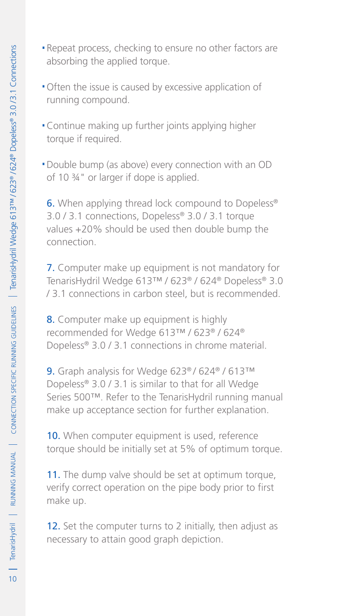- .Repeat process, checking to ensure no other factors are absorbing the applied torque.
- .Often the issue is caused by excessive application of running compound.
- .Continue making up further joints applying higher torque if required.
- .Double bump (as above) every connection with an OD of 10 ¾" or larger if dope is applied.

**6.** When applying thread lock compound to Dopeless<sup>®</sup> 3.0 / 3.1 connections, Dopeless® 3.0 / 3.1 torque values +20% should be used then double bump the connection.

7. Computer make up equipment is not mandatory for TenarisHydril Wedge 613™ / 623® / 624® Dopeless® 3.0 / 3.1 connections in carbon steel, but is recommended.

8. Computer make up equipment is highly recommended for Wedge 613™ / 623® / 624® Dopeless® 3.0 / 3.1 connections in chrome material.

9. Graph analysis for Wedge 623® / 624® / 613™ Dopeless® 3.0 / 3.1 is similar to that for all Wedge Series 500™. Refer to the TenarisHydril running manual make up acceptance section for further explanation.

10. When computer equipment is used, reference torque should be initially set at 5% of optimum torque.

11. The dump valve should be set at optimum torque, verify correct operation on the pipe body prior to first make up.

12. Set the computer turns to 2 initially, then adjust as necessary to attain good graph depiction.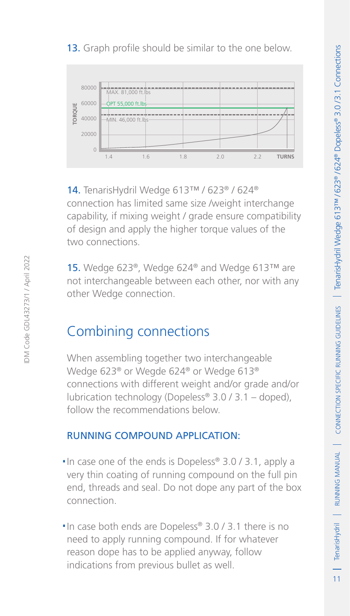$11$ 

### 13. Graph profile should be similar to the one below.



14. TenarisHydril Wedge 613™ / 623® / 624® connection has limited same size /weight interchange capability, if mixing weight / grade ensure compatibility of design and apply the higher torque values of the two connections. **Example 19**<br> **Example 10**<br> **Example 10**<br> **14**<br> **14** To **and Assume that Assume that Assume the state of design and apply the higher torque v<br>
two connections.<br>
<b>15** Wedge 623<sup>®</sup>, Wedge 624<sup>®</sup> and We<br>
not interchangeable b

15. Wedge 623®, Wedge 624® and Wedge 613™ are not interchangeable between each other, nor with any other Wedge connection.

### Combining connections

When assembling together two interchangeable Wedge 623® or Wegde 624® or Wedge 613® connections with different weight and/or grade and/or lubrication technology (Dopeless® 3.0 / 3.1 – doped), follow the recommendations below.

### Running compound application:

- $\blacksquare$  In case one of the ends is Dopeless<sup>®</sup> 3.0 / 3.1, apply a very thin coating of running compound on the full pin end, threads and seal. Do not dope any part of the box connection.
- ■In case both ends are Dopeless® 3.0 / 3.1 there is no need to apply running compound. If for whatever reason dope has to be applied anyway, follow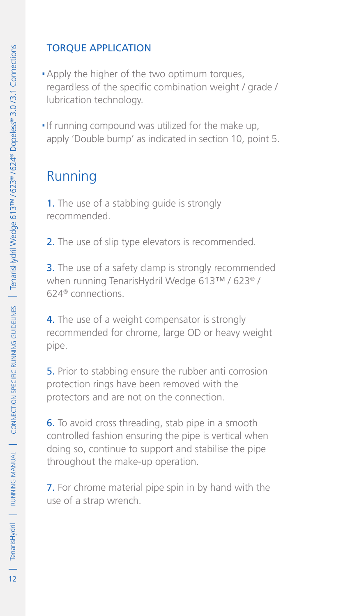### Torque application

- . Apply the higher of the two optimum torques, regardless of the specific combination weight / grade / lubrication technology.
- .If running compound was utilized for the make up, apply 'Double bump' as indicated in section 10, point 5.

### Running

1. The use of a stabbing quide is strongly recommended.

2. The use of slip type elevators is recommended.

**3.** The use of a safety clamp is strongly recommended when running TenarisHydril Wedge 613™ / 623® / 624® connections.

4. The use of a weight compensator is strongly recommended for chrome, large OD or heavy weight pipe.

5. Prior to stabbing ensure the rubber anti corrosion protection rings have been removed with the protectors and are not on the connection.

6. To avoid cross threading, stab pipe in a smooth controlled fashion ensuring the pipe is vertical when doing so, continue to support and stabilise the pipe throughout the make-up operation.

7. For chrome material pipe spin in by hand with the use of a strap wrench.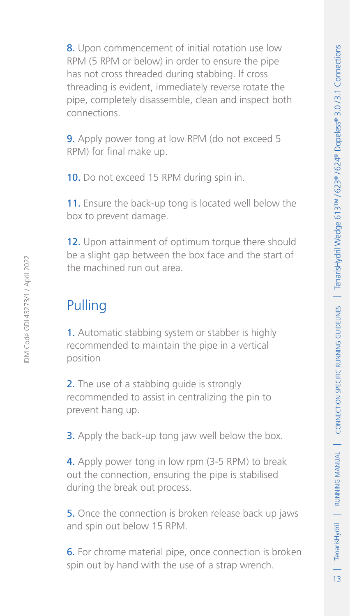8. Upon commencement of initial rotation use low RPM (5 RPM or below) in order to ensure the pipe has not cross threaded during stabbing. If cross threading is evident, immediately reverse rotate the pipe, completely disassemble, clean and inspect both connections.

9. Apply power tong at low RPM (do not exceed 5 RPM) for final make up.

10. Do not exceed 15 RPM during spin in.

11. Ensure the back-up tong is located well below the box to prevent damage.

12. Upon attainment of optimum torque there should be a slight gap between the box face and the start of the machined run out area.

### Pulling

1. Automatic stabbing system or stabber is highly recommended to maintain the pipe in a vertical position

2. The use of a stabbing quide is strongly recommended to assist in centralizing the pin to prevent hang up.

**3.** Apply the back-up tong jaw well below the box.

4. Apply power tong in low rpm (3-5 RPM) to break out the connection, ensuring the pipe is stabilised during the break out process.

5. Once the connection is broken release back up jaws and spin out below 15 RPM.

6. For chrome material pipe, once connection is broken spin out by hand with the use of a strap wrench.

IDM Code GDL43273/1 / April 2022

DM Code GDI 43273/1 / April 2022